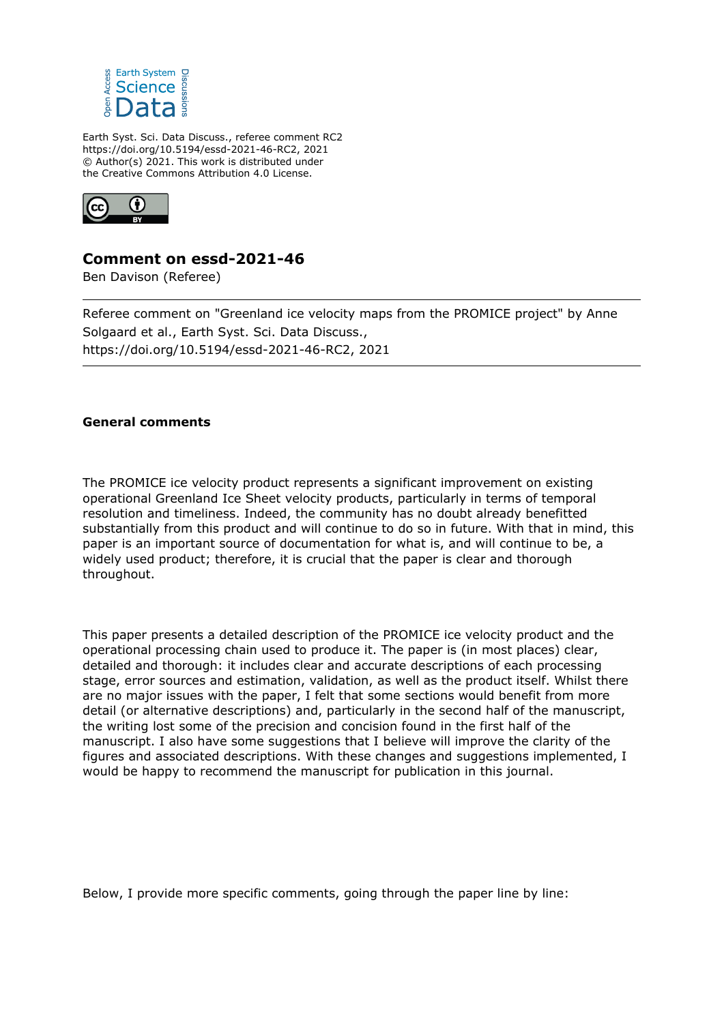

Earth Syst. Sci. Data Discuss., referee comment RC2 https://doi.org/10.5194/essd-2021-46-RC2, 2021 © Author(s) 2021. This work is distributed under the Creative Commons Attribution 4.0 License.



## **Comment on essd-2021-46**

Ben Davison (Referee)

Referee comment on "Greenland ice velocity maps from the PROMICE project" by Anne Solgaard et al., Earth Syst. Sci. Data Discuss., https://doi.org/10.5194/essd-2021-46-RC2, 2021

## **General comments**

The PROMICE ice velocity product represents a significant improvement on existing operational Greenland Ice Sheet velocity products, particularly in terms of temporal resolution and timeliness. Indeed, the community has no doubt already benefitted substantially from this product and will continue to do so in future. With that in mind, this paper is an important source of documentation for what is, and will continue to be, a widely used product; therefore, it is crucial that the paper is clear and thorough throughout.

This paper presents a detailed description of the PROMICE ice velocity product and the operational processing chain used to produce it. The paper is (in most places) clear, detailed and thorough: it includes clear and accurate descriptions of each processing stage, error sources and estimation, validation, as well as the product itself. Whilst there are no major issues with the paper, I felt that some sections would benefit from more detail (or alternative descriptions) and, particularly in the second half of the manuscript, the writing lost some of the precision and concision found in the first half of the manuscript. I also have some suggestions that I believe will improve the clarity of the figures and associated descriptions. With these changes and suggestions implemented, I would be happy to recommend the manuscript for publication in this journal.

Below, I provide more specific comments, going through the paper line by line: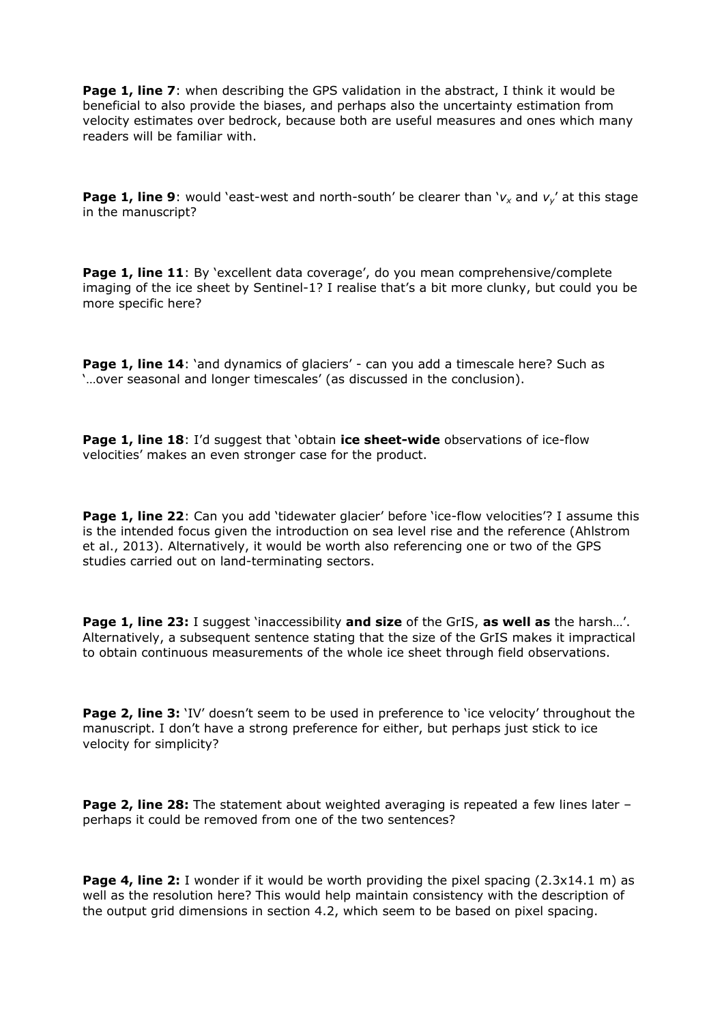**Page 1, line 7:** when describing the GPS validation in the abstract, I think it would be beneficial to also provide the biases, and perhaps also the uncertainty estimation from velocity estimates over bedrock, because both are useful measures and ones which many readers will be familiar with.

**Page 1, line 9**: would 'east-west and north-south' be clearer than '*v<sup>x</sup>* and *v<sup>y</sup>* ' at this stage in the manuscript?

Page 1, line 11: By 'excellent data coverage', do you mean comprehensive/complete imaging of the ice sheet by Sentinel-1? I realise that's a bit more clunky, but could you be more specific here?

**Page 1, line 14:** 'and dynamics of glaciers' - can you add a timescale here? Such as '…over seasonal and longer timescales' (as discussed in the conclusion).

**Page 1, line 18**: I'd suggest that 'obtain **ice sheet-wide** observations of ice-flow velocities' makes an even stronger case for the product.

**Page 1, line 22**: Can you add 'tidewater glacier' before 'ice-flow velocities'? I assume this is the intended focus given the introduction on sea level rise and the reference (Ahlstrom et al., 2013). Alternatively, it would be worth also referencing one or two of the GPS studies carried out on land-terminating sectors.

**Page 1, line 23:** I suggest 'inaccessibility **and size** of the GrIS, **as well as** the harsh…'. Alternatively, a subsequent sentence stating that the size of the GrIS makes it impractical to obtain continuous measurements of the whole ice sheet through field observations.

**Page 2, line 3:** 'IV' doesn't seem to be used in preference to 'ice velocity' throughout the manuscript. I don't have a strong preference for either, but perhaps just stick to ice velocity for simplicity?

**Page 2, line 28:** The statement about weighted averaging is repeated a few lines later – perhaps it could be removed from one of the two sentences?

**Page 4, line 2:** I wonder if it would be worth providing the pixel spacing (2.3x14.1 m) as well as the resolution here? This would help maintain consistency with the description of the output grid dimensions in section 4.2, which seem to be based on pixel spacing.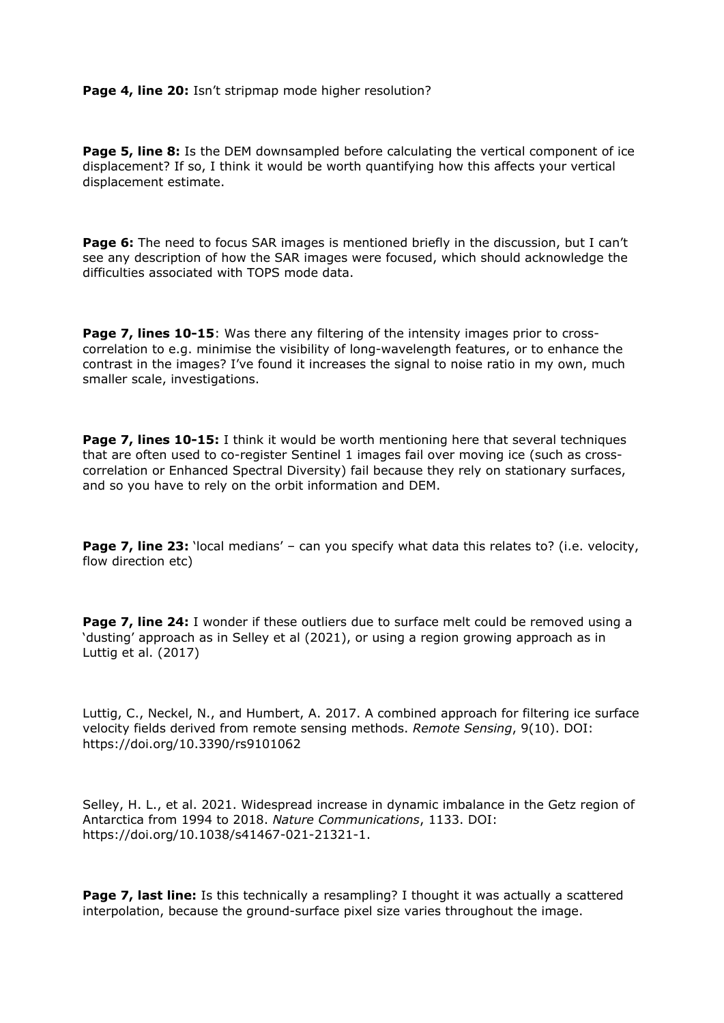**Page 4, line 20:** Isn't stripmap mode higher resolution?

**Page 5, line 8:** Is the DEM downsampled before calculating the vertical component of ice displacement? If so, I think it would be worth quantifying how this affects your vertical displacement estimate.

**Page 6:** The need to focus SAR images is mentioned briefly in the discussion, but I can't see any description of how the SAR images were focused, which should acknowledge the difficulties associated with TOPS mode data.

**Page 7, lines 10-15:** Was there any filtering of the intensity images prior to crosscorrelation to e.g. minimise the visibility of long-wavelength features, or to enhance the contrast in the images? I've found it increases the signal to noise ratio in my own, much smaller scale, investigations.

**Page 7, lines 10-15:** I think it would be worth mentioning here that several techniques that are often used to co-register Sentinel 1 images fail over moving ice (such as crosscorrelation or Enhanced Spectral Diversity) fail because they rely on stationary surfaces, and so you have to rely on the orbit information and DEM.

**Page 7, line 23:** *'local medians' – can you specify what data this relates to? (i.e. velocity,* flow direction etc)

**Page 7, line 24:** I wonder if these outliers due to surface melt could be removed using a 'dusting' approach as in Selley et al (2021), or using a region growing approach as in Luttig et al. (2017)

Luttig, C., Neckel, N., and Humbert, A. 2017. A combined approach for filtering ice surface velocity fields derived from remote sensing methods. *Remote Sensing*, 9(10). DOI: https://doi.org/10.3390/rs9101062

Selley, H. L., et al. 2021. Widespread increase in dynamic imbalance in the Getz region of Antarctica from 1994 to 2018. *Nature Communications*, 1133. DOI: https://doi.org/10.1038/s41467-021-21321-1.

**Page 7, last line:** Is this technically a resampling? I thought it was actually a scattered interpolation, because the ground-surface pixel size varies throughout the image.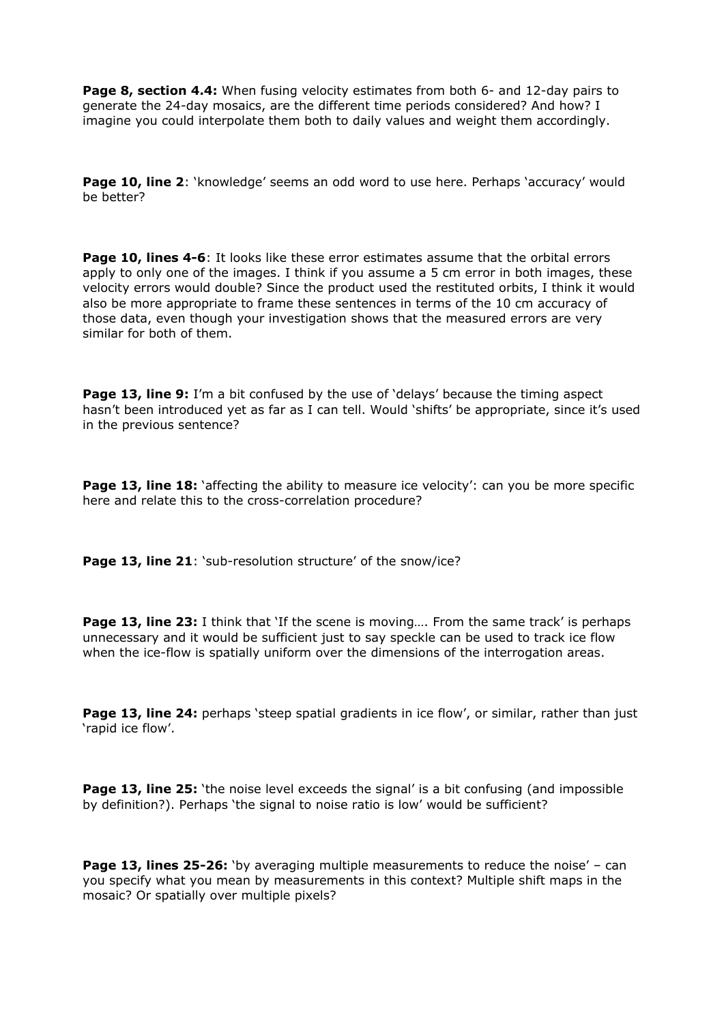**Page 8, section 4.4:** When fusing velocity estimates from both 6- and 12-day pairs to generate the 24-day mosaics, are the different time periods considered? And how? I imagine you could interpolate them both to daily values and weight them accordingly.

**Page 10, line 2:** 'knowledge' seems an odd word to use here. Perhaps 'accuracy' would be better?

**Page 10, lines 4-6:** It looks like these error estimates assume that the orbital errors apply to only one of the images. I think if you assume a 5 cm error in both images, these velocity errors would double? Since the product used the restituted orbits, I think it would also be more appropriate to frame these sentences in terms of the 10 cm accuracy of those data, even though your investigation shows that the measured errors are very similar for both of them.

**Page 13, line 9:** I'm a bit confused by the use of 'delays' because the timing aspect hasn't been introduced yet as far as I can tell. Would 'shifts' be appropriate, since it's used in the previous sentence?

**Page 13, line 18:** 'affecting the ability to measure ice velocity': can you be more specific here and relate this to the cross-correlation procedure?

Page 13, line 21: 'sub-resolution structure' of the snow/ice?

**Page 13, line 23:** I think that 'If the scene is moving.... From the same track' is perhaps unnecessary and it would be sufficient just to say speckle can be used to track ice flow when the ice-flow is spatially uniform over the dimensions of the interrogation areas.

**Page 13, line 24:** perhaps 'steep spatial gradients in ice flow', or similar, rather than just 'rapid ice flow'.

**Page 13, line 25:** 'the noise level exceeds the signal' is a bit confusing (and impossible by definition?). Perhaps 'the signal to noise ratio is low' would be sufficient?

**Page 13, lines 25-26:** 'by averaging multiple measurements to reduce the noise' – can you specify what you mean by measurements in this context? Multiple shift maps in the mosaic? Or spatially over multiple pixels?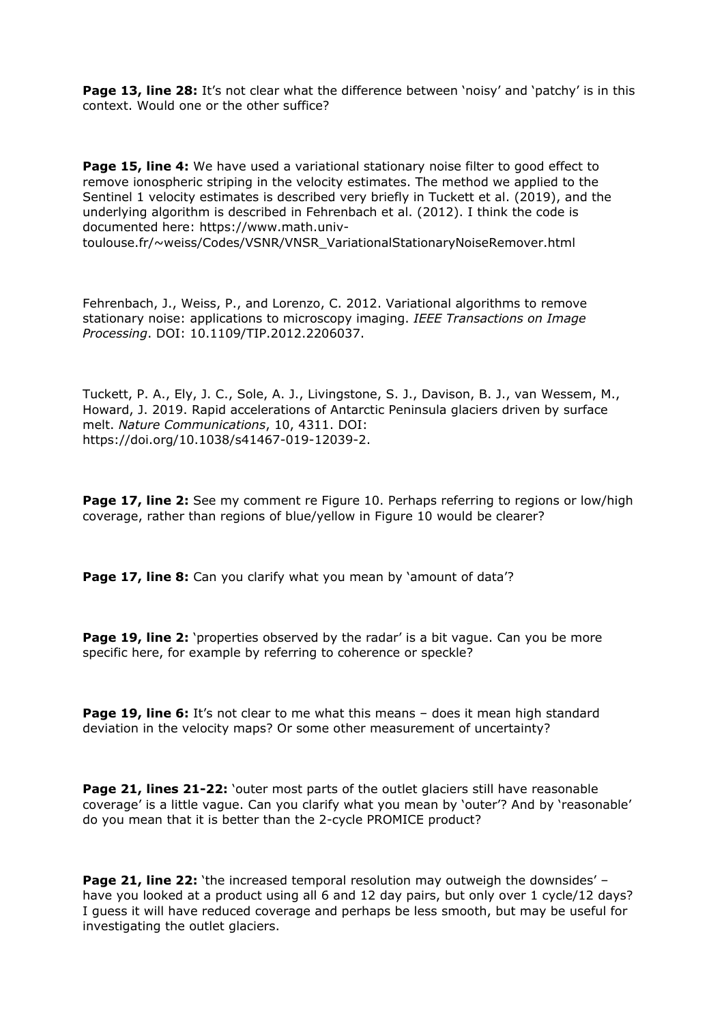**Page 13, line 28:** It's not clear what the difference between 'noisy' and 'patchy' is in this context. Would one or the other suffice?

**Page 15, line 4:** We have used a variational stationary noise filter to good effect to remove ionospheric striping in the velocity estimates. The method we applied to the Sentinel 1 velocity estimates is described very briefly in Tuckett et al. (2019), and the underlying algorithm is described in Fehrenbach et al. (2012). I think the code is documented here: https://www.math.univ-

toulouse.fr/~weiss/Codes/VSNR/VNSR\_VariationalStationaryNoiseRemover.html

Fehrenbach, J., Weiss, P., and Lorenzo, C. 2012. Variational algorithms to remove stationary noise: applications to microscopy imaging. *IEEE Transactions on Image Processing*. DOI: 10.1109/TIP.2012.2206037.

Tuckett, P. A., Ely, J. C., Sole, A. J., Livingstone, S. J., Davison, B. J., van Wessem, M., Howard, J. 2019. Rapid accelerations of Antarctic Peninsula glaciers driven by surface melt. *Nature Communications*, 10, 4311. DOI: https://doi.org/10.1038/s41467-019-12039-2.

**Page 17, line 2:** See my comment re Figure 10. Perhaps referring to regions or low/high coverage, rather than regions of blue/yellow in Figure 10 would be clearer?

**Page 17, line 8:** Can you clarify what you mean by 'amount of data'?

**Page 19, line 2:** 'properties observed by the radar' is a bit vague. Can you be more specific here, for example by referring to coherence or speckle?

**Page 19, line 6:** It's not clear to me what this means – does it mean high standard deviation in the velocity maps? Or some other measurement of uncertainty?

**Page 21, lines 21-22:** 'outer most parts of the outlet glaciers still have reasonable coverage' is a little vague. Can you clarify what you mean by 'outer'? And by 'reasonable' do you mean that it is better than the 2-cycle PROMICE product?

**Page 21, line 22:** 'the increased temporal resolution may outweigh the downsides' have you looked at a product using all 6 and 12 day pairs, but only over 1 cycle/12 days? I guess it will have reduced coverage and perhaps be less smooth, but may be useful for investigating the outlet glaciers.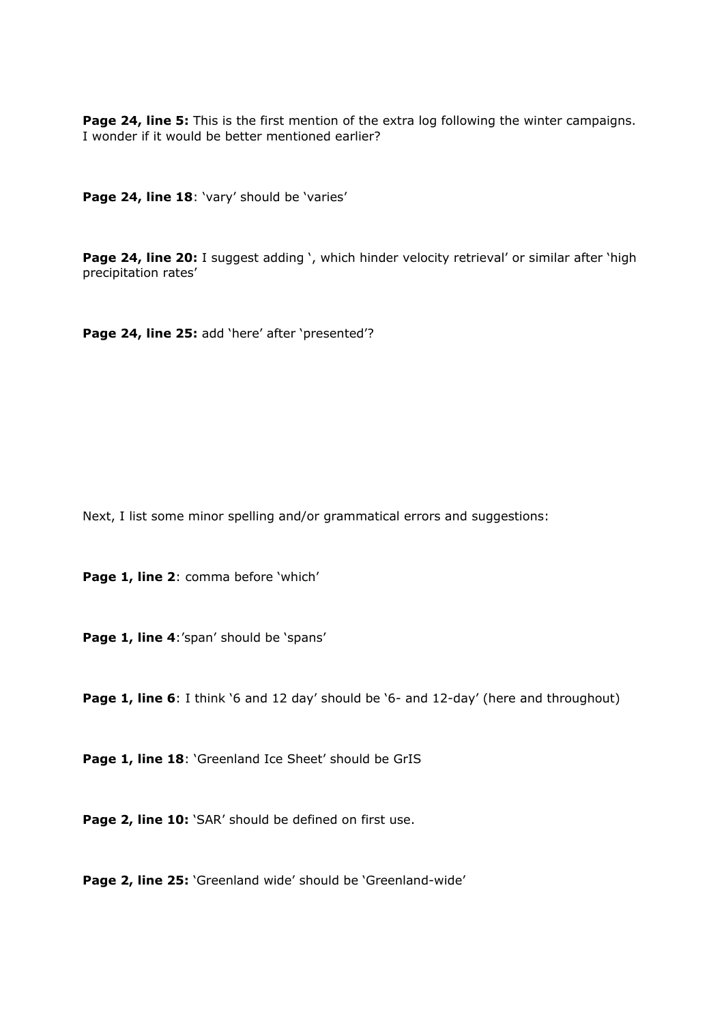**Page 24, line 5:** This is the first mention of the extra log following the winter campaigns. I wonder if it would be better mentioned earlier?

Page 24, line 18: 'vary' should be 'varies'

Page 24, line 20: I suggest adding ', which hinder velocity retrieval' or similar after 'high precipitation rates'

Page 24, line 25: add 'here' after 'presented'?

Next, I list some minor spelling and/or grammatical errors and suggestions:

Page 1, line 2: comma before 'which'

Page 1, line 4:'span' should be 'spans'

**Page 1, line 6**: I think '6 and 12 day' should be '6- and 12-day' (here and throughout)

Page 1, line 18: 'Greenland Ice Sheet' should be GrIS

Page 2, line 10: 'SAR' should be defined on first use.

Page 2, line 25: 'Greenland wide' should be 'Greenland-wide'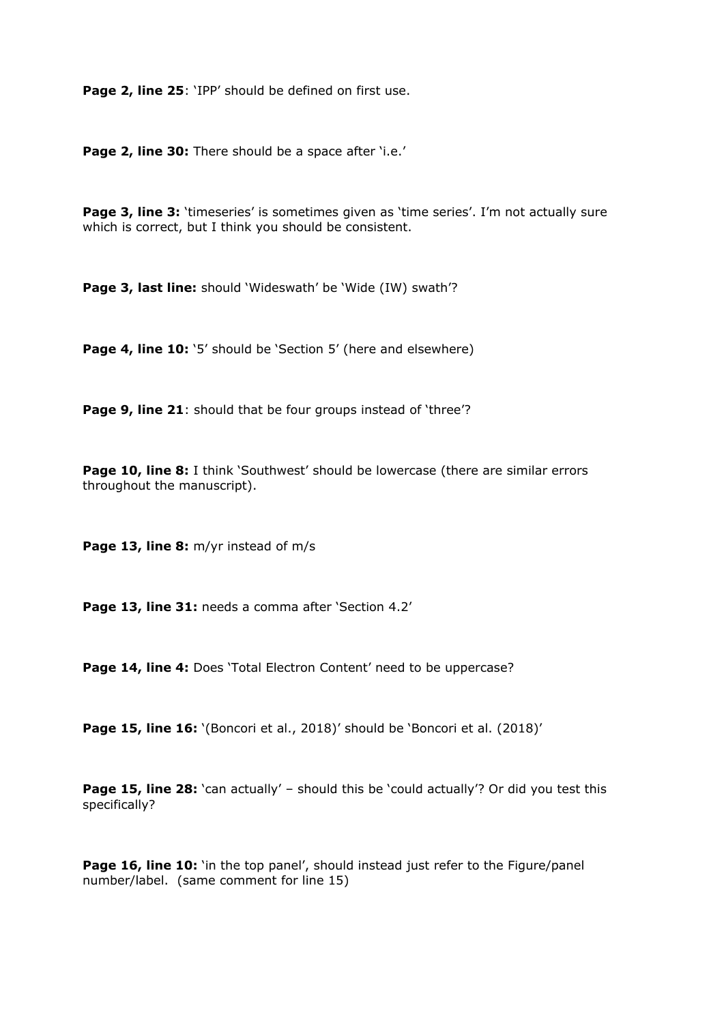Page 2, line 25: 'IPP' should be defined on first use.

Page 2, line 30: There should be a space after 'i.e.'

Page 3, line 3: 'timeseries' is sometimes given as 'time series'. I'm not actually sure which is correct, but I think you should be consistent.

**Page 3, last line:** should 'Wideswath' be 'Wide (IW) swath'?

Page 4, line 10: '5' should be 'Section 5' (here and elsewhere)

Page 9, line 21: should that be four groups instead of 'three'?

**Page 10, line 8:** I think 'Southwest' should be lowercase (there are similar errors throughout the manuscript).

**Page 13, line 8:** m/yr instead of m/s

Page 13, line 31: needs a comma after 'Section 4.2'

Page 14, line 4: Does 'Total Electron Content' need to be uppercase?

**Page 15, line 16:** '(Boncori et al., 2018)' should be 'Boncori et al. (2018)'

**Page 15, line 28:** 'can actually' – should this be 'could actually'? Or did you test this specifically?

**Page 16, line 10:** 'in the top panel', should instead just refer to the Figure/panel number/label. (same comment for line 15)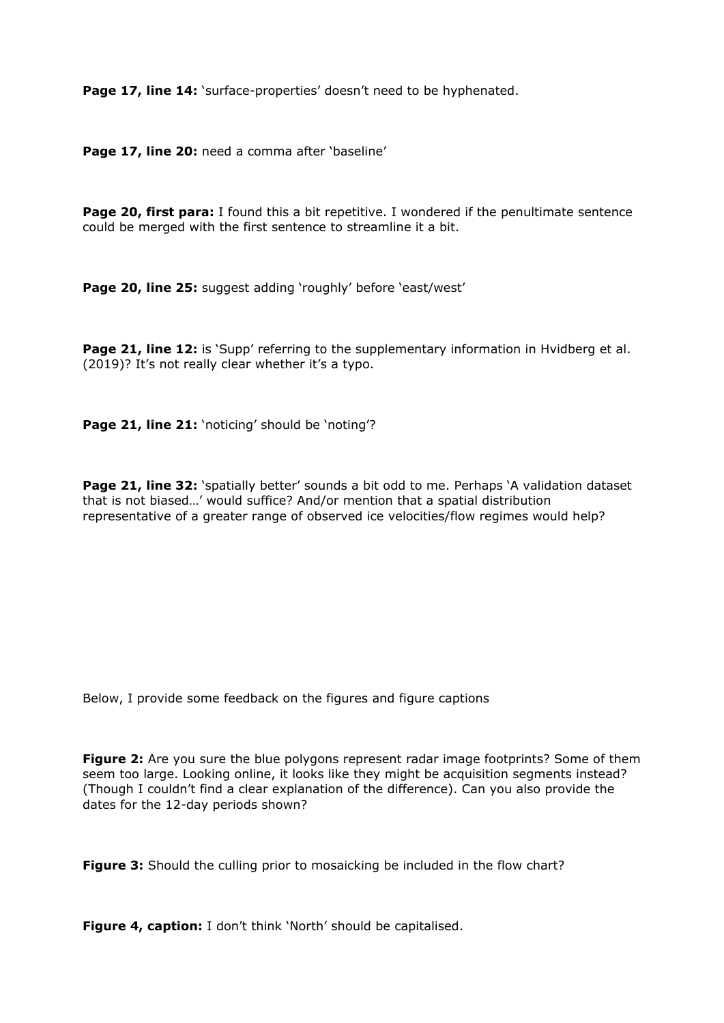Page 17, line 14: 'surface-properties' doesn't need to be hyphenated.

Page 17, line 20: need a comma after 'baseline'

**Page 20, first para:** I found this a bit repetitive. I wondered if the penultimate sentence could be merged with the first sentence to streamline it a bit.

Page 20, line 25: suggest adding 'roughly' before 'east/west'

Page 21, line 12: is 'Supp' referring to the supplementary information in Hvidberg et al. (2019)? It's not really clear whether it's a typo.

Page 21, line 21: 'noticing' should be 'noting'?

**Page 21, line 32:** 'spatially better' sounds a bit odd to me. Perhaps 'A validation dataset that is not biased…' would suffice? And/or mention that a spatial distribution representative of a greater range of observed ice velocities/flow regimes would help?

Below, I provide some feedback on the figures and figure captions

**Figure 2:** Are you sure the blue polygons represent radar image footprints? Some of them seem too large. Looking online, it looks like they might be acquisition segments instead? (Though I couldn't find a clear explanation of the difference). Can you also provide the dates for the 12-day periods shown?

**Figure 3:** Should the culling prior to mosaicking be included in the flow chart?

**Figure 4, caption:** I don't think 'North' should be capitalised.